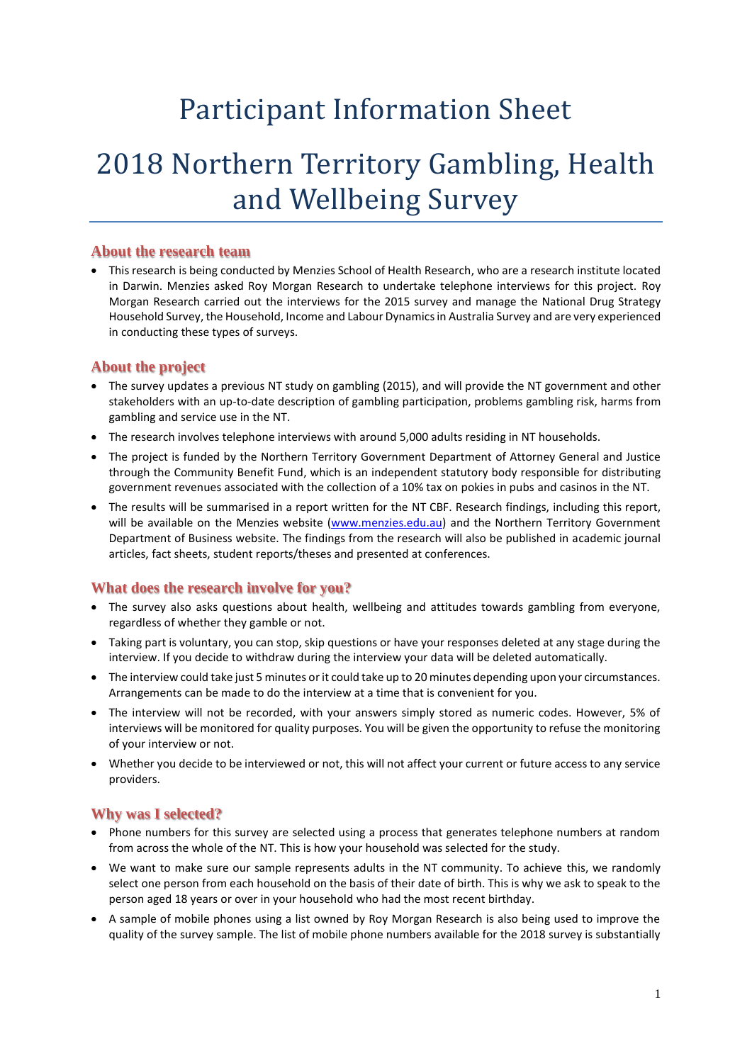## Participant Information Sheet

# 2018 Northern Territory Gambling, Health and Wellbeing Survey

### **About the research team**

• This research is being conducted by Menzies School of Health Research, who are a research institute located in Darwin. Menzies asked Roy Morgan Research to undertake telephone interviews for this project. Roy Morgan Research carried out the interviews for the 2015 survey and manage the National Drug Strategy Household Survey, the Household, Income and Labour Dynamics in Australia Survey and are very experienced in conducting these types of surveys.

## **About the project**

- The survey updates a previous NT study on gambling (2015), and will provide the NT government and other stakeholders with an up-to-date description of gambling participation, problems gambling risk, harms from gambling and service use in the NT.
- The research involves telephone interviews with around 5,000 adults residing in NT households.
- The project is funded by the Northern Territory Government Department of Attorney General and Justice through the Community Benefit Fund, which is an independent statutory body responsible for distributing government revenues associated with the collection of a 10% tax on pokies in pubs and casinos in the NT.
- The results will be summarised in a report written for the NT CBF. Research findings, including this report, will be available on the Menzies website [\(www.menzies.edu.au\)](http://www.menzies.edu.au/) and the Northern Territory Government Department of Business website. The findings from the research will also be published in academic journal articles, fact sheets, student reports/theses and presented at conferences.

## **What does the research involve for you?**

- The survey also asks questions about health, wellbeing and attitudes towards gambling from everyone, regardless of whether they gamble or not.
- Taking part is voluntary, you can stop, skip questions or have your responses deleted at any stage during the interview. If you decide to withdraw during the interview your data will be deleted automatically.
- The interview could take just 5 minutes or it could take up to 20 minutes depending upon your circumstances. Arrangements can be made to do the interview at a time that is convenient for you.
- The interview will not be recorded, with your answers simply stored as numeric codes. However, 5% of interviews will be monitored for quality purposes. You will be given the opportunity to refuse the monitoring of your interview or not.
- Whether you decide to be interviewed or not, this will not affect your current or future access to any service providers.

#### **Why was I selected?**

- Phone numbers for this survey are selected using a process that generates telephone numbers at random from across the whole of the NT. This is how your household was selected for the study.
- We want to make sure our sample represents adults in the NT community. To achieve this, we randomly select one person from each household on the basis of their date of birth. This is why we ask to speak to the person aged 18 years or over in your household who had the most recent birthday.
- A sample of mobile phones using a list owned by Roy Morgan Research is also being used to improve the quality of the survey sample. The list of mobile phone numbers available for the 2018 survey is substantially